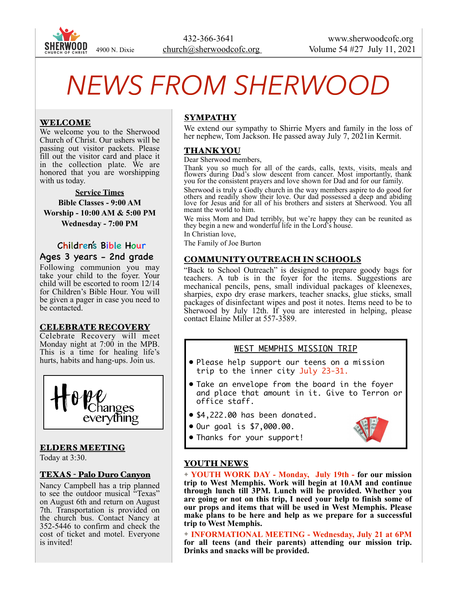

# *NEWS FROM SHERWOOD*

## WELCOME

We welcome you to the Sherwood Church of Christ. Our ushers will be passing out visitor packets. Please fill out the visitor card and place it in the collection plate. We are honored that you are worshipping with us today.

**Service Times Bible Classes - 9:00 AM Worship - 10:00 AM & 5:00 PM Wednesday - 7:00 PM** 

## Children's Bible Hour Ages 3 years - 2nd grade

Following communion you may take your child to the foyer. Your child will be escorted to room 12/14 for Children's Bible Hour. You will be given a pager in case you need to be contacted.

#### CELEBRATE RECOVERY

Celebrate Recovery will meet Monday night at 7:00 in the MPB. This is a time for healing life's hurts, habits and hang-ups. Join us.



## ELDERS MEETING

Today at 3:30.

#### TEXAS - Palo Duro Canyon

Nancy Campbell has a trip planned to see the outdoor musical "Texas" on August 6th and return on August 7th. Transportation is provided on the church bus. Contact Nancy at 352-5446 to confirm and check the cost of ticket and motel. Everyone is invited!

## SYMPATHY

We extend our sympathy to Shirrie Myers and family in the loss of her nephew, Tom Jackson. He passed away July 7, 2021 in Kermit.

#### THANK YOU

Dear Sherwood members,

Thank you so much for all of the cards, calls, texts, visits, meals and flowers during Dad's slow descent from cancer. Most importantly, thank you for the consistent prayers and love shown for Dad and for our family.

Sherwood is truly a Godly church in the way members aspire to do good for others and readily show their love. Our dad possessed a deep and abiding love for Jesus and for all of his brothers and sisters at Sherwood. You all meant the world to him.

We miss Mom and Dad terribly, but we're happy they can be reunited as they begin a new and wonderful life in the Lord's house.

In Christian love,

The Family of Joe Burton

#### COMMUNITY OUTREACH IN SCHOOLS

"Back to School Outreach" is designed to prepare goody bags for teachers. A tub is in the foyer for the items. Suggestions are mechanical pencils, pens, small individual packages of kleenexes, sharpies, expo dry erase markers, teacher snacks, glue sticks, small packages of disinfectant wipes and post it notes. Items need to be to Sherwood by July 12th. If you are interested in helping, please contact Elaine Miller at 557-3589.

## WEST MEMPHIS MISSION TRIP

- Please help support our teens on a mission trip to the inner city July 23-31.
- Take an envelope from the board in the foyer and place that amount in it. Give to Terron or office staff.
- \$4,222.00 has been donated.
- Our goal is \$7,000.00.



• Thanks for your support!

## YOUTH NEWS

✦ **YOUTH WORK DAY - Monday, July 19th - for our mission trip to West Memphis. Work will begin at 10AM and continue through lunch till 3PM. Lunch will be provided. Whether you are going or not on this trip, I need your help to finish some of our props and items that will be used in West Memphis. Please make plans to be here and help as we prepare for a successful trip to West Memphis.** 

✦ **INFORMATIONAL MEETING - Wednesday, July 21 at 6PM for all teens (and their parents) attending our mission trip. Drinks and snacks will be provided.**